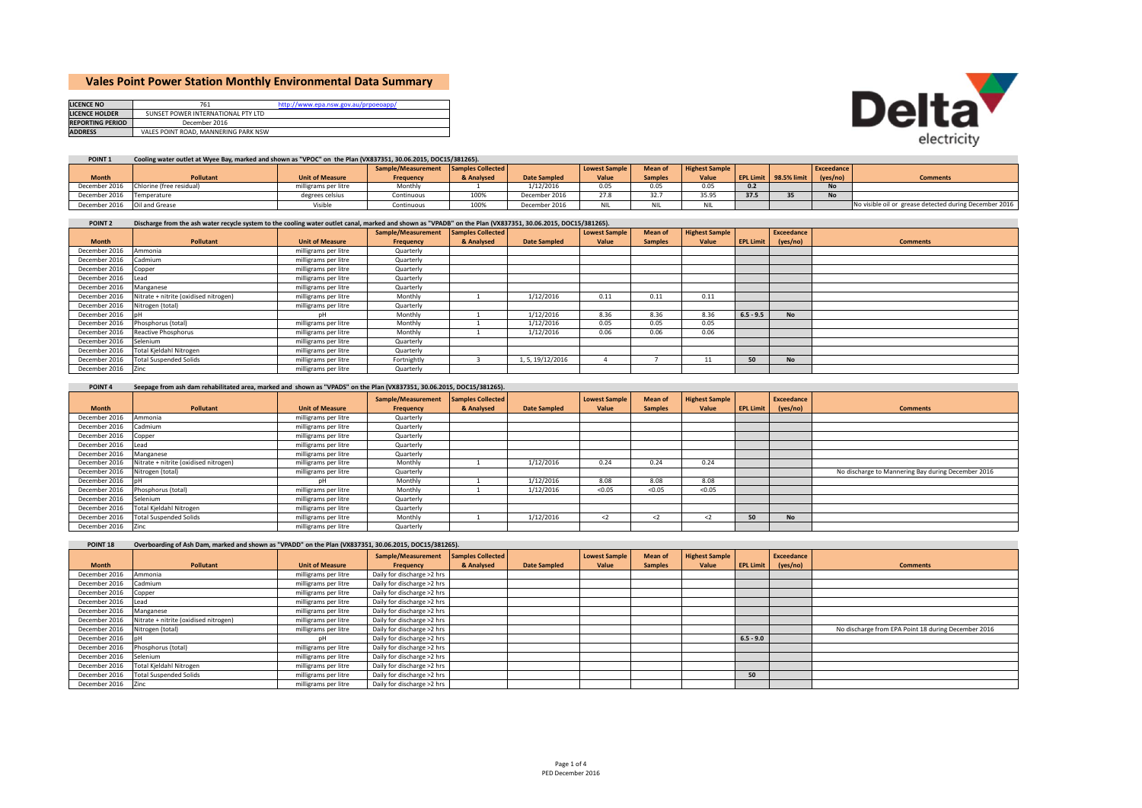# **Vales Point Power Station Monthly Environmental Data Summary**

| <b>LICENCE NO</b>       | 761                                  | http://www.epa.nsw.gov.au/prpoeoapp/ |
|-------------------------|--------------------------------------|--------------------------------------|
| <b>LICENCE HOLDER</b>   | SUNSET POWER INTERNATIONAL PTY LTD   |                                      |
| <b>REPORTING PERIOD</b> | December 2016                        |                                      |
| <b>ADDRESS</b>          | VALES POINT ROAD, MANNERING PARK NSW |                                      |



## POINT 1 Cooling water outlet at Wyee Bay, marked and shown as "VPOC" on the Plan (VX837351, 30.06.2015, DOC15/381265).

|                              |                                        |                        | Sample/Measurement Samples Collected |            |                     | <b>Lowest Sample</b> | <b>Mean of</b> | <b>Highest Sample</b> |      |                       | <b>Exceedance</b> |                                                        |
|------------------------------|----------------------------------------|------------------------|--------------------------------------|------------|---------------------|----------------------|----------------|-----------------------|------|-----------------------|-------------------|--------------------------------------------------------|
| <b>Month</b>                 | <b>Pollutant</b>                       | <b>Unit of Measure</b> | Frequency                            | & Analysed | <b>Date Sampled</b> | Value                | <b>Samples</b> | Value                 |      | EPL Limit 98.5% limit | (yes/no)          | <b>Comments</b>                                        |
|                              | December 2016 Chlorine (free residual) | milligrams per litre   | Monthly                              |            | 1/12/2016           | 0.05                 | 0.05           | 0.05                  |      |                       | <b>No</b>         |                                                        |
| December 2016 Temperature    |                                        | degrees celsius        | Continuous                           | 100%       | December 2016       | 27.8                 | 32.7           | 35.95                 | 37.5 |                       | $\mathbf{A}$      |                                                        |
| December 2016 Oil and Grease |                                        |                        | Continuous                           | 100%       | December 2016       |                      |                | NII.                  |      |                       |                   | No visible oil or grease detected during December 2016 |

#### POINT 2 Discharge from the ash water recycle system to the cooling water outlet canal, marked and shown as "VPADB" on the Plan (VX837351, 30.06.2015, DOC15/381265).

|                      |                                         |                        | Sample/Measurement | Samples Collected |                     | <b>Lowest Sample</b> | Mean of        | <b>Highest Sample</b> |             | Exceedance |                 |
|----------------------|-----------------------------------------|------------------------|--------------------|-------------------|---------------------|----------------------|----------------|-----------------------|-------------|------------|-----------------|
| <b>Month</b>         | <b>Pollutant</b>                        | <b>Unit of Measure</b> | Frequency          | & Analysed        | <b>Date Sampled</b> | Value                | <b>Samples</b> | Value                 | EPL Limit   | (yes/no)   | <b>Comments</b> |
| December 2016        | Ammonia                                 | milligrams per litre   | Quarterly          |                   |                     |                      |                |                       |             |            |                 |
| December 2016        | Cadmium                                 | milligrams per litre   | Quarterly          |                   |                     |                      |                |                       |             |            |                 |
| December 2016        | Copper                                  | milligrams per litre   | Quarterly          |                   |                     |                      |                |                       |             |            |                 |
| December 2016        | lLead                                   | milligrams per litre   | Quarterly          |                   |                     |                      |                |                       |             |            |                 |
| December 2016        | Manganese                               | milligrams per litre   | Quarterly          |                   |                     |                      |                |                       |             |            |                 |
| December 2016        | Nitrate + nitrite (oxidised nitrogen)   | milligrams per litre   | Monthly            |                   | 1/12/2016           | 0.11                 | 0.11           | 0.11                  |             |            |                 |
| December 2016        | Nitrogen (total)                        | milligrams per litre   | Quarterly          |                   |                     |                      |                |                       |             |            |                 |
| December 2016 pH     |                                         | nН                     | Monthly            |                   | 1/12/2016           | 8.36                 | 8.36           | 8.36                  | $6.5 - 9.5$ | <b>No</b>  |                 |
| December 2016        | Phosphorus (total)                      | milligrams per litre   | Monthly            |                   | 1/12/2016           | 0.05                 | 0.05           | 0.05                  |             |            |                 |
|                      | December 2016 Reactive Phosphorus       | milligrams per litre   | Monthly            |                   | 1/12/2016           | 0.06                 | 0.06           | 0.06                  |             |            |                 |
| December 2016        | Selenium                                | milligrams per litre   | Quarterly          |                   |                     |                      |                |                       |             |            |                 |
|                      | December 2016   Total Kjeldahl Nitrogen | milligrams per litre   | Quarterly          |                   |                     |                      |                |                       |             |            |                 |
|                      | December 2016 Total Suspended Solids    | milligrams per litre   | Fortnightly        |                   | 1, 5, 19/12/2016    |                      |                | 11                    | 50          | <b>No</b>  |                 |
| December 2016   Zinc |                                         | milligrams per litre   | Quarterly          |                   |                     |                      |                |                       |             |            |                 |

| POINT <sub>4</sub> | Seepage from ash dam rehabilitated area, marked and shown as "VPADS" on the Plan (VX837351, 30.06.2015, DOC15/381265). |
|--------------------|------------------------------------------------------------------------------------------------------------------------|

|                    |                                       |                        | Sample/Measurement | <b>Samples Collected</b> |                     | <b>Lowest Sample</b> | Mean of        | <b>Highest Sample</b> |                  | Exceedance |                                                    |
|--------------------|---------------------------------------|------------------------|--------------------|--------------------------|---------------------|----------------------|----------------|-----------------------|------------------|------------|----------------------------------------------------|
| <b>Month</b>       | <b>Pollutant</b>                      | <b>Unit of Measure</b> | Frequency          | & Analysed               | <b>Date Sampled</b> | Value                | <b>Samples</b> | Value                 | <b>EPL Limit</b> | (yes/no)   | <b>Comments</b>                                    |
| December 2016      | Ammonia                               | milligrams per litre   | Quarterly          |                          |                     |                      |                |                       |                  |            |                                                    |
| December 2016      | Cadmium                               | milligrams per litre   | Quarterly          |                          |                     |                      |                |                       |                  |            |                                                    |
| December 2016      | Copper                                | milligrams per litre   | Quarterly          |                          |                     |                      |                |                       |                  |            |                                                    |
| December 2016      | ead                                   | milligrams per litre   | Quarterly          |                          |                     |                      |                |                       |                  |            |                                                    |
| December 2016      | Manganese                             | milligrams per litre   | Quarterly          |                          |                     |                      |                |                       |                  |            |                                                    |
| December 2016      | Nitrate + nitrite (oxidised nitrogen) | milligrams per litre   | Monthly            |                          | 1/12/2016           | 0.24                 | 0.24           | 0.24                  |                  |            |                                                    |
| December 2016      | Nitrogen (total)                      | milligrams per litre   | Quarterly          |                          |                     |                      |                |                       |                  |            | No discharge to Mannering Bay during December 2016 |
| December 2016      |                                       |                        | Monthly            |                          | 1/12/2016           | 8.08                 | 8.08           | 8.08                  |                  |            |                                                    |
| December 2016      | Phosphorus (total)                    | milligrams per litre   | Monthly            |                          | 1/12/2016           | < 0.05               | < 0.05         | < 0.05                |                  |            |                                                    |
| December 2016      | Selenium                              | milligrams per litre   | Quarterly          |                          |                     |                      |                |                       |                  |            |                                                    |
| December 2016      | Total Kjeldahl Nitrogen               | milligrams per litre   | Quarterly          |                          |                     |                      |                |                       |                  |            |                                                    |
| December 2016      | <b>Total Suspended Solids</b>         | milligrams per litre   | Monthly            |                          | 1/12/2016           | $\langle$ 2          | $2$            | $2$                   | 50               | <b>No</b>  |                                                    |
| December 2016 Zinc |                                       | milligrams per litre   | Quarterly          |                          |                     |                      |                |                       |                  |            |                                                    |

| POINT <sub>18</sub> | Overboarding of Ash Dam, marked and shown as "VPADD" on the Plan (VX837351, 30.06.2015, DOC15/381265). |                        |                            |                   |                     |                      |                |                       |                  |            |                                                     |
|---------------------|--------------------------------------------------------------------------------------------------------|------------------------|----------------------------|-------------------|---------------------|----------------------|----------------|-----------------------|------------------|------------|-----------------------------------------------------|
|                     |                                                                                                        |                        | Sample/Measurement         | Samples Collected |                     | <b>Lowest Sample</b> | <b>Mean of</b> | <b>Highest Sample</b> |                  | Exceedance |                                                     |
| <b>Month</b>        | Pollutant                                                                                              | <b>Unit of Measure</b> | Frequency                  | & Analysed        | <b>Date Sampled</b> | Value                | <b>Samples</b> | Value                 | <b>EPL Limit</b> | (yes/no)   | <b>Comments</b>                                     |
| December 2016       | Ammonia                                                                                                | milligrams per litre   | Daily for discharge >2 hrs |                   |                     |                      |                |                       |                  |            |                                                     |
| December 2016       | Cadmium                                                                                                | milligrams per litre   | Daily for discharge >2 hrs |                   |                     |                      |                |                       |                  |            |                                                     |
| December 2016       | Copper                                                                                                 | milligrams per litre   | Daily for discharge >2 hrs |                   |                     |                      |                |                       |                  |            |                                                     |
| December 2016       | heal                                                                                                   | milligrams per litre   | Daily for discharge >2 hrs |                   |                     |                      |                |                       |                  |            |                                                     |
| December 2016       | Manganese                                                                                              | milligrams per litre   | Daily for discharge >2 hrs |                   |                     |                      |                |                       |                  |            |                                                     |
| December 2016       | Nitrate + nitrite (oxidised nitrogen)                                                                  | milligrams per litre   | Daily for discharge >2 hrs |                   |                     |                      |                |                       |                  |            |                                                     |
| December 2016       | Nitrogen (total)                                                                                       | milligrams per litre   | Daily for discharge >2 hrs |                   |                     |                      |                |                       |                  |            | No discharge from EPA Point 18 during December 2016 |
| December 2016       |                                                                                                        | nН                     | Daily for discharge >2 hrs |                   |                     |                      |                |                       | $6.5 - 9.0$      |            |                                                     |
| December 2016       | Phosphorus (total)                                                                                     | milligrams per litre   | Daily for discharge >2 hrs |                   |                     |                      |                |                       |                  |            |                                                     |
| December 2016       | Selenium                                                                                               | milligrams per litre   | Daily for discharge >2 hrs |                   |                     |                      |                |                       |                  |            |                                                     |
| December 2016       | Total Kjeldahl Nitrogen                                                                                | milligrams per litre   | Daily for discharge >2 hrs |                   |                     |                      |                |                       |                  |            |                                                     |
| December 2016       | <b>Total Suspended Solids</b>                                                                          | milligrams per litre   | Daily for discharge >2 hrs |                   |                     |                      |                |                       | 50               |            |                                                     |
| December 2016       | <b>Zinc</b>                                                                                            | milligrams per litre   | Daily for discharge >2 hrs |                   |                     |                      |                |                       |                  |            |                                                     |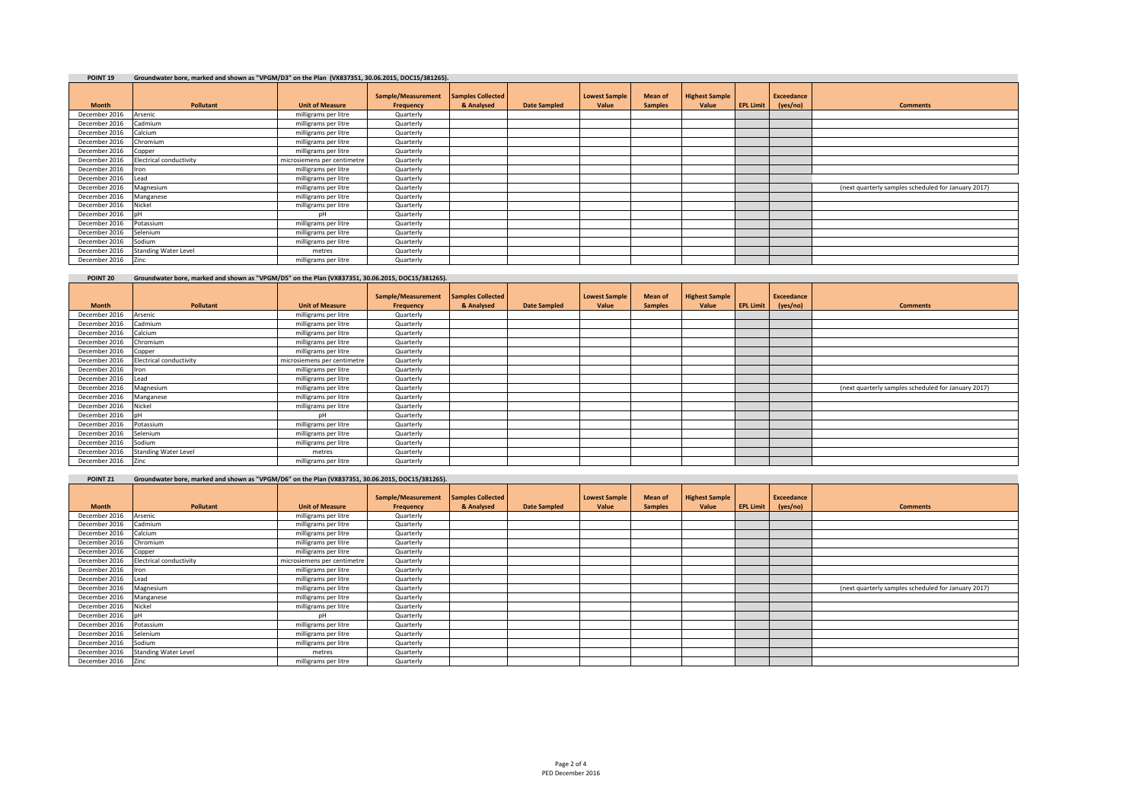| POINT <sub>19</sub> | Groundwater bore, marked and shown as "VPGM/D3" on the Plan (VX837351, 30.06.2015, DOC15/381265). |                             |                                 |                                        |                     |                               |                           |                                |                  |                               |                                                     |
|---------------------|---------------------------------------------------------------------------------------------------|-----------------------------|---------------------------------|----------------------------------------|---------------------|-------------------------------|---------------------------|--------------------------------|------------------|-------------------------------|-----------------------------------------------------|
| <b>Month</b>        | Pollutant                                                                                         | <b>Unit of Measure</b>      | Sample/Measurement<br>Frequency | <b>Samples Collected</b><br>& Analysed | <b>Date Sampled</b> | <b>Lowest Sample</b><br>Value | Mean of<br><b>Samples</b> | <b>Highest Sample</b><br>Value | <b>EPL Limit</b> | <b>Exceedance</b><br>(yes/no) | <b>Comments</b>                                     |
| December 2016       | Arsenic                                                                                           | milligrams per litre        | Quarterly                       |                                        |                     |                               |                           |                                |                  |                               |                                                     |
| December 2016       | Cadmium                                                                                           | milligrams per litre        | Quarterly                       |                                        |                     |                               |                           |                                |                  |                               |                                                     |
| December 2016       | Calcium                                                                                           | milligrams per litre        | Quarterly                       |                                        |                     |                               |                           |                                |                  |                               |                                                     |
| December 2016       | Chromium                                                                                          | milligrams per litre        | Quarterly                       |                                        |                     |                               |                           |                                |                  |                               |                                                     |
| December 2016       | Copper                                                                                            | milligrams per litre        | Quarterly                       |                                        |                     |                               |                           |                                |                  |                               |                                                     |
| December 2016       | <b>Electrical conductivity</b>                                                                    | microsiemens per centimetre | Quarterly                       |                                        |                     |                               |                           |                                |                  |                               |                                                     |
| December 2016       | Iron                                                                                              | milligrams per litre        | Quarterly                       |                                        |                     |                               |                           |                                |                  |                               |                                                     |
| December 2016       | Lead                                                                                              | milligrams per litre        | Quarterly                       |                                        |                     |                               |                           |                                |                  |                               |                                                     |
| December 2016       | Magnesium                                                                                         | milligrams per litre        | Quarterly                       |                                        |                     |                               |                           |                                |                  |                               | (next quarterly samples scheduled for January 2017) |
| December 2016       | Manganese                                                                                         | milligrams per litre        | Quarterly                       |                                        |                     |                               |                           |                                |                  |                               |                                                     |
| December 2016       | Nickel                                                                                            | milligrams per litre        | Quarterly                       |                                        |                     |                               |                           |                                |                  |                               |                                                     |
| December 2016       | nН                                                                                                | pН                          | Quarterly                       |                                        |                     |                               |                           |                                |                  |                               |                                                     |
| December 2016       | Potassium                                                                                         | milligrams per litre        | Quarterly                       |                                        |                     |                               |                           |                                |                  |                               |                                                     |
| December 2016       | Selenium                                                                                          | milligrams per litre        | Quarterly                       |                                        |                     |                               |                           |                                |                  |                               |                                                     |
| December 2016       | Sodium                                                                                            | milligrams per litre        | Quarterly                       |                                        |                     |                               |                           |                                |                  |                               |                                                     |
| December 2016       | <b>Standing Water Level</b>                                                                       | metres                      | Quarterly                       |                                        |                     |                               |                           |                                |                  |                               |                                                     |
| December 2016       | Zinc                                                                                              | milligrams per litre        | Quarterly                       |                                        |                     |                               |                           |                                |                  |                               |                                                     |

| POINT 20      | Groundwater bore, marked and shown as "VPGM/D5" on the Plan (VX837351, 30.06.2015, DOC15/381265). |                             |                                 |                                        |                     |                               |                                  |                                |                  |                               |                                                     |
|---------------|---------------------------------------------------------------------------------------------------|-----------------------------|---------------------------------|----------------------------------------|---------------------|-------------------------------|----------------------------------|--------------------------------|------------------|-------------------------------|-----------------------------------------------------|
| <b>Month</b>  | Pollutant                                                                                         | <b>Unit of Measure</b>      | Sample/Measurement<br>Frequency | <b>Samples Collected</b><br>& Analysed | <b>Date Sampled</b> | <b>Lowest Sample</b><br>Value | <b>Mean of</b><br><b>Samples</b> | <b>Highest Sample</b><br>Value | <b>EPL Limit</b> | <b>Exceedance</b><br>(yes/no) | <b>Comments</b>                                     |
| December 2016 | Arsenic                                                                                           | milligrams per litre        | Quarterly                       |                                        |                     |                               |                                  |                                |                  |                               |                                                     |
| December 2016 | Cadmium                                                                                           | milligrams per litre        | Quarterly                       |                                        |                     |                               |                                  |                                |                  |                               |                                                     |
| December 2016 | Calcium                                                                                           | milligrams per litre        | Quarterly                       |                                        |                     |                               |                                  |                                |                  |                               |                                                     |
| December 2016 | Chromium                                                                                          | milligrams per litre        | Quarterly                       |                                        |                     |                               |                                  |                                |                  |                               |                                                     |
| December 2016 | Copper                                                                                            | milligrams per litre        | Quarterly                       |                                        |                     |                               |                                  |                                |                  |                               |                                                     |
| December 2016 | Electrical conductivity                                                                           | microsiemens per centimetre | Quarterly                       |                                        |                     |                               |                                  |                                |                  |                               |                                                     |
| December 2016 | Iron                                                                                              | milligrams per litre        | Quarterly                       |                                        |                     |                               |                                  |                                |                  |                               |                                                     |
| December 2016 | Lead                                                                                              | milligrams per litre        | Quarterly                       |                                        |                     |                               |                                  |                                |                  |                               |                                                     |
| December 2016 | Magnesium                                                                                         | milligrams per litre        | Quarterly                       |                                        |                     |                               |                                  |                                |                  |                               | (next quarterly samples scheduled for January 2017) |
| December 2016 | Manganese                                                                                         | milligrams per litre        | Quarterly                       |                                        |                     |                               |                                  |                                |                  |                               |                                                     |
| December 2016 | Nickel                                                                                            | milligrams per litre        | Quarterly                       |                                        |                     |                               |                                  |                                |                  |                               |                                                     |
| December 2016 |                                                                                                   | pН                          | Quarterly                       |                                        |                     |                               |                                  |                                |                  |                               |                                                     |
| December 2016 | Potassium                                                                                         | milligrams per litre        | Quarterly                       |                                        |                     |                               |                                  |                                |                  |                               |                                                     |
| December 2016 | Selenium                                                                                          | milligrams per litre        | Quarterly                       |                                        |                     |                               |                                  |                                |                  |                               |                                                     |
| December 2016 | Sodium                                                                                            | milligrams per litre        | Quarterly                       |                                        |                     |                               |                                  |                                |                  |                               |                                                     |
| December 2016 | <b>Standing Water Level</b>                                                                       | metres                      | Quarterly                       |                                        |                     |                               |                                  |                                |                  |                               |                                                     |
| December 2016 | Zinc                                                                                              | milligrams per litre        | Quarterly                       |                                        |                     |                               |                                  |                                |                  |                               |                                                     |

| POINT <sub>21</sub> | Groundwater bore, marked and shown as "VPGM/D6" on the Plan (VX837351, 30.06.2015, DOC15/381265). |                             |                                 |                                        |                     |                               |                           |                                |                  |                        |                                                     |
|---------------------|---------------------------------------------------------------------------------------------------|-----------------------------|---------------------------------|----------------------------------------|---------------------|-------------------------------|---------------------------|--------------------------------|------------------|------------------------|-----------------------------------------------------|
| <b>Month</b>        | Pollutant                                                                                         | <b>Unit of Measure</b>      | Sample/Measurement<br>Frequency | <b>Samples Collected</b><br>& Analysed | <b>Date Sampled</b> | <b>Lowest Sample</b><br>Value | Mean of<br><b>Samples</b> | <b>Highest Sample</b><br>Value | <b>EPL Limit</b> | Exceedance<br>(yes/no) | <b>Comments</b>                                     |
| December 2016       | Arsenic                                                                                           | milligrams per litre        | Quarterly                       |                                        |                     |                               |                           |                                |                  |                        |                                                     |
| December 2016       | Cadmium                                                                                           | milligrams per litre        | Quarterly                       |                                        |                     |                               |                           |                                |                  |                        |                                                     |
| December 2016       | Calcium                                                                                           | milligrams per litre        | Quarterly                       |                                        |                     |                               |                           |                                |                  |                        |                                                     |
| December 2016       | Chromium                                                                                          | milligrams per litre        | Quarterly                       |                                        |                     |                               |                           |                                |                  |                        |                                                     |
| December 2016       | Copper                                                                                            | milligrams per litre        | Quarterly                       |                                        |                     |                               |                           |                                |                  |                        |                                                     |
| December 2016       | Electrical conductivity                                                                           | microsiemens per centimetre | Quarterly                       |                                        |                     |                               |                           |                                |                  |                        |                                                     |
| December 2016       | <b>I</b> ron                                                                                      | milligrams per litre        | Quarterly                       |                                        |                     |                               |                           |                                |                  |                        |                                                     |
| December 2016       | Lead                                                                                              | milligrams per litre        | Quarterly                       |                                        |                     |                               |                           |                                |                  |                        |                                                     |
| December 2016       | Magnesium                                                                                         | milligrams per litre        | Quarterly                       |                                        |                     |                               |                           |                                |                  |                        | (next quarterly samples scheduled for January 2017) |
| December 2016       | Manganese                                                                                         | milligrams per litre        | Quarterly                       |                                        |                     |                               |                           |                                |                  |                        |                                                     |
| December 2016       | Nickel                                                                                            | milligrams per litre        | Quarterly                       |                                        |                     |                               |                           |                                |                  |                        |                                                     |
| December 2016       |                                                                                                   | nH                          | Quarterly                       |                                        |                     |                               |                           |                                |                  |                        |                                                     |
| December 2016       | Potassium                                                                                         | milligrams per litre        | Quarterly                       |                                        |                     |                               |                           |                                |                  |                        |                                                     |
| December 2016       | Selenium                                                                                          | milligrams per litre        | Quarterly                       |                                        |                     |                               |                           |                                |                  |                        |                                                     |
| December 2016       | Sodium                                                                                            | milligrams per litre        | Quarterly                       |                                        |                     |                               |                           |                                |                  |                        |                                                     |
| December 2016       | <b>Standing Water Level</b>                                                                       | metres                      | Quarterly                       |                                        |                     |                               |                           |                                |                  |                        |                                                     |
| December 2016       | Zinc                                                                                              | milligrams per litre        | Quarterly                       |                                        |                     |                               |                           |                                |                  |                        |                                                     |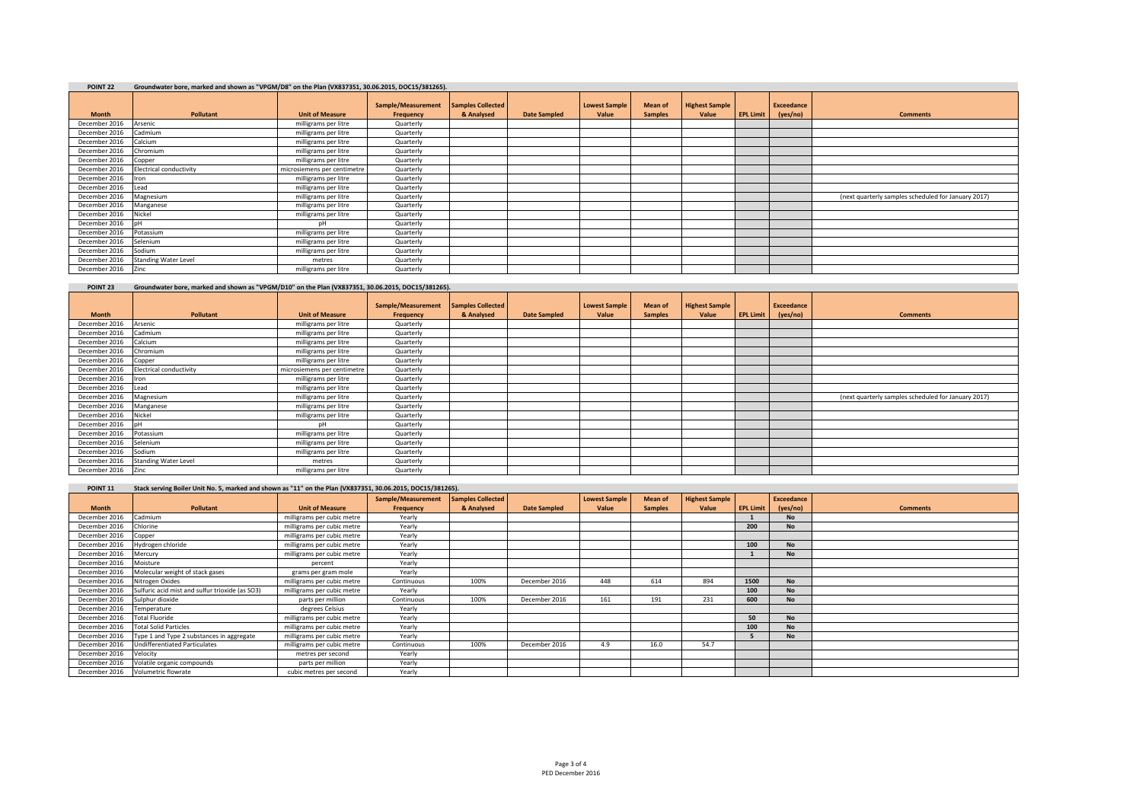| POINT <sub>22</sub> | Groundwater bore, marked and shown as "VPGM/D8" on the Plan (VX837351, 30.06.2015, DOC15/381265). |                             |                                 |                                        |                     |                               |                           |                                |                  |                               |                                                     |
|---------------------|---------------------------------------------------------------------------------------------------|-----------------------------|---------------------------------|----------------------------------------|---------------------|-------------------------------|---------------------------|--------------------------------|------------------|-------------------------------|-----------------------------------------------------|
| <b>Month</b>        | Pollutant                                                                                         | <b>Unit of Measure</b>      | Sample/Measurement<br>Frequency | <b>Samples Collected</b><br>& Analysed | <b>Date Sampled</b> | <b>Lowest Sample</b><br>Value | Mean of<br><b>Samples</b> | <b>Highest Sample</b><br>Value | <b>EPL Limit</b> | <b>Exceedance</b><br>(yes/no) | <b>Comments</b>                                     |
| December 2016       | Arsenic                                                                                           | milligrams per litre        | Quarterly                       |                                        |                     |                               |                           |                                |                  |                               |                                                     |
| December 2016       | Cadmium                                                                                           | milligrams per litre        | Quarterly                       |                                        |                     |                               |                           |                                |                  |                               |                                                     |
| December 2016       | Calcium                                                                                           | milligrams per litre        | Quarterly                       |                                        |                     |                               |                           |                                |                  |                               |                                                     |
| December 2016       | Chromium                                                                                          | milligrams per litre        | Quarterly                       |                                        |                     |                               |                           |                                |                  |                               |                                                     |
| December 2016       | Copper                                                                                            | milligrams per litre        | Quarterly                       |                                        |                     |                               |                           |                                |                  |                               |                                                     |
| December 2016       | Electrical conductivity                                                                           | microsiemens per centimetre | Quarterly                       |                                        |                     |                               |                           |                                |                  |                               |                                                     |
| December 2016       | <b>ron</b>                                                                                        | milligrams per litre        | Quarterly                       |                                        |                     |                               |                           |                                |                  |                               |                                                     |
| December 2016       | Lead                                                                                              | milligrams per litre        | Quarterly                       |                                        |                     |                               |                           |                                |                  |                               |                                                     |
| December 2016       | Magnesium                                                                                         | milligrams per litre        | Quarterly                       |                                        |                     |                               |                           |                                |                  |                               | (next quarterly samples scheduled for January 2017) |
| December 2016       | Manganese                                                                                         | milligrams per litre        | Quarterly                       |                                        |                     |                               |                           |                                |                  |                               |                                                     |
| December 2016       | Nickel                                                                                            | milligrams per litre        | Quarterly                       |                                        |                     |                               |                           |                                |                  |                               |                                                     |
| December 2016       | nH                                                                                                | nН                          | Quarterly                       |                                        |                     |                               |                           |                                |                  |                               |                                                     |
| December 2016       | Potassium                                                                                         | milligrams per litre        | Quarterly                       |                                        |                     |                               |                           |                                |                  |                               |                                                     |
| December 2016       | Selenium                                                                                          | milligrams per litre        | Quarterly                       |                                        |                     |                               |                           |                                |                  |                               |                                                     |
| December 2016       | Sodium                                                                                            | milligrams per litre        | Quarterly                       |                                        |                     |                               |                           |                                |                  |                               |                                                     |
| December 2016       | <b>Standing Water Level</b>                                                                       | metres                      | Quarterly                       |                                        |                     |                               |                           |                                |                  |                               |                                                     |
| December 2016       | Zinc                                                                                              | milligrams per litre        | Quarterly                       |                                        |                     |                               |                           |                                |                  |                               |                                                     |

# **POINT 23 Groundwater bore, marked and shown as "VPGM/D10" on the Plan (VX837351, 30.06.2015, DOC15/381265).**

|               |                             |                             | Sample/Measurement | <b>Samples Collected</b> |                     | <b>Lowest Sample</b> | <b>Mean of</b> | <b>Highest Sample</b> |                  | <b>Exceedance</b> |                                                     |
|---------------|-----------------------------|-----------------------------|--------------------|--------------------------|---------------------|----------------------|----------------|-----------------------|------------------|-------------------|-----------------------------------------------------|
| <b>Month</b>  | <b>Pollutant</b>            | <b>Unit of Measure</b>      | Frequency          | & Analysed               | <b>Date Sampled</b> | Value                | <b>Samples</b> | Value                 | <b>EPL Limit</b> | (yes/no)          | <b>Comments</b>                                     |
| December 2016 | Arsenic                     | milligrams per litre        | Quarterly          |                          |                     |                      |                |                       |                  |                   |                                                     |
| December 2016 | Cadmium                     | milligrams per litre        | Quarterly          |                          |                     |                      |                |                       |                  |                   |                                                     |
| December 2016 | Calcium                     | milligrams per litre        | Quarterly          |                          |                     |                      |                |                       |                  |                   |                                                     |
| December 2016 | Chromium                    | milligrams per litre        | Quarterly          |                          |                     |                      |                |                       |                  |                   |                                                     |
| December 2016 | Copper                      | milligrams per litre        | Quarterly          |                          |                     |                      |                |                       |                  |                   |                                                     |
| December 2016 | Electrical conductivity     | microsiemens per centimetre | Quarterly          |                          |                     |                      |                |                       |                  |                   |                                                     |
| December 2016 | ron                         | milligrams per litre        | Quarterly          |                          |                     |                      |                |                       |                  |                   |                                                     |
| December 2016 | Lead                        | milligrams per litre        | Quarterly          |                          |                     |                      |                |                       |                  |                   |                                                     |
| December 2016 | Magnesium                   | milligrams per litre        | Quarterly          |                          |                     |                      |                |                       |                  |                   | (next quarterly samples scheduled for January 2017) |
| December 2016 | Manganese                   | milligrams per litre        | Quarterly          |                          |                     |                      |                |                       |                  |                   |                                                     |
| December 2016 | Nickel                      | milligrams per litre        | Quarterly          |                          |                     |                      |                |                       |                  |                   |                                                     |
| December 2016 | nH                          | DH                          | Quarterly          |                          |                     |                      |                |                       |                  |                   |                                                     |
| December 2016 | Potassium                   | milligrams per litre        | Quarterly          |                          |                     |                      |                |                       |                  |                   |                                                     |
| December 2016 | Selenium                    | milligrams per litre        | Quarterly          |                          |                     |                      |                |                       |                  |                   |                                                     |
| December 2016 | Sodium                      | milligrams per litre        | Quarterly          |                          |                     |                      |                |                       |                  |                   |                                                     |
| December 2016 | <b>Standing Water Level</b> | metres                      | Quarterly          |                          |                     |                      |                |                       |                  |                   |                                                     |
| December 2016 | Zinc                        | milligrams per litre        | Quarterly          |                          |                     |                      |                |                       |                  |                   |                                                     |

| POINT <sub>11</sub> | Stack serving Boiler Unit No. 5, marked and shown as "11" on the Plan (VX837351, 30.06.2015, DOC15/381265). |                            |                    |                   |                     |                      |                |                       |                  |            |                 |  |
|---------------------|-------------------------------------------------------------------------------------------------------------|----------------------------|--------------------|-------------------|---------------------|----------------------|----------------|-----------------------|------------------|------------|-----------------|--|
|                     |                                                                                                             |                            | Sample/Measurement | Samples Collected |                     | <b>Lowest Sample</b> | Mean of        | <b>Highest Sample</b> |                  | Exceedance |                 |  |
| <b>Month</b>        | Pollutant                                                                                                   | <b>Unit of Measure</b>     | Frequency          | & Analysed        | <b>Date Sampled</b> | Value                | <b>Samples</b> | Value                 | <b>EPL Limit</b> | (yes/no)   | <b>Comments</b> |  |
| December 2016       | Cadmium                                                                                                     | milligrams per cubic metre | Yearly             |                   |                     |                      |                |                       |                  | <b>No</b>  |                 |  |
| December 2016       | Chlorine                                                                                                    | milligrams per cubic metre | Yearly             |                   |                     |                      |                |                       | 200              | <b>No</b>  |                 |  |
| December 2016       | Copper                                                                                                      | milligrams per cubic metre | Yearly             |                   |                     |                      |                |                       |                  |            |                 |  |
| December 2016       | Hydrogen chloride                                                                                           | milligrams per cubic metre | Yearly             |                   |                     |                      |                |                       | 100              | <b>No</b>  |                 |  |
| December 2016       | Mercury                                                                                                     | milligrams per cubic metre | Yearly             |                   |                     |                      |                |                       |                  | <b>No</b>  |                 |  |
| December 2016       | Moisture                                                                                                    | percent                    | Yearly             |                   |                     |                      |                |                       |                  |            |                 |  |
| December 2016       | Molecular weight of stack gases                                                                             | grams per gram mole        | Yearly             |                   |                     |                      |                |                       |                  |            |                 |  |
| December 2016       | Nitrogen Oxides                                                                                             | milligrams per cubic metre | Continuous         | 100%              | December 2016       | 448                  | 614            | 894                   | 1500             | No         |                 |  |
| December 2016       | Sulfuric acid mist and sulfur trioxide (as SO3)                                                             | milligrams per cubic metre | Yearly             |                   |                     |                      |                |                       | 100              | <b>No</b>  |                 |  |
| December 2016       | Sulphur dioxide                                                                                             | parts per million          | Continuous         | 100%              | December 2016       | 161                  | 191            | 231                   | 600              | <b>No</b>  |                 |  |
| December 2016       | Temperature                                                                                                 | degrees Celsius            | Yearly             |                   |                     |                      |                |                       |                  |            |                 |  |
| December 2016       | <b>Total Fluoride</b>                                                                                       | milligrams per cubic metre | Yearly             |                   |                     |                      |                |                       | 50               | <b>No</b>  |                 |  |
| December 2016       | <b>Total Solid Particles</b>                                                                                | milligrams per cubic metre | Yearly             |                   |                     |                      |                |                       | 100              | <b>No</b>  |                 |  |
| December 2016       | Type 1 and Type 2 substances in aggregate                                                                   | milligrams per cubic metre | Yearly             |                   |                     |                      |                |                       |                  | <b>No</b>  |                 |  |
| December 2016       | <b>Undifferentiated Particulates</b>                                                                        | milligrams per cubic metre | Continuous         | 100%              | December 2016       | 4.9                  | 16.0           | 54.7                  |                  |            |                 |  |
| December 2016       | Velocity                                                                                                    | metres per second          | Yearly             |                   |                     |                      |                |                       |                  |            |                 |  |
| December 2016       | Volatile organic compounds                                                                                  | parts per million          | Yearly             |                   |                     |                      |                |                       |                  |            |                 |  |
| December 2016       | Volumetric flowrate                                                                                         | cubic metres per second    | Yearly             |                   |                     |                      |                |                       |                  |            |                 |  |